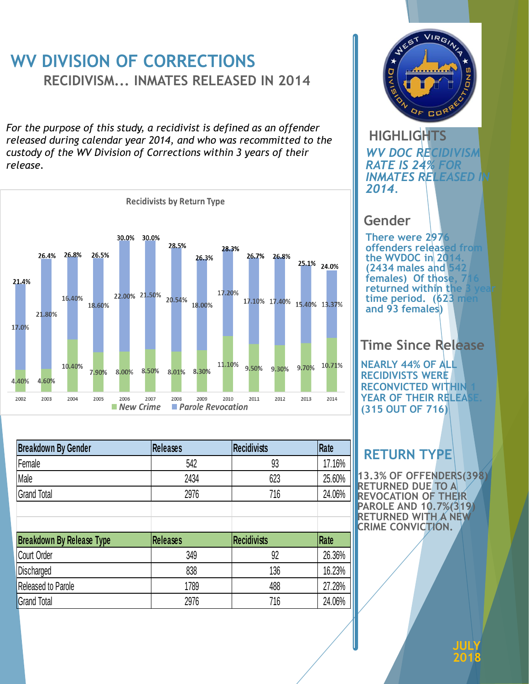## **WV DIVISION OF CORRECTIONS RECIDIVISM... INMATES RELEASED IN 2014**

*For the purpose of this study, a recidivist is defined as an offender released during calendar year 2014, and who was recommitted to the custody of the WV Division of Corrections within 3 years of their release.*



| <b>Breakdown By Gender</b>       | <b>Releases</b> | <b>Recidivists</b> | Rate   |
|----------------------------------|-----------------|--------------------|--------|
| Female                           | 542             | 93                 | 17.16% |
| Male                             | 2434            | 623                | 25.60% |
| <b>Grand Total</b>               | 2976            | 716                | 24.06% |
|                                  |                 |                    |        |
| <b>Breakdown By Release Type</b> | <b>Releases</b> | <b>Recidivists</b> | Rate   |
|                                  |                 |                    |        |
| <b>Court Order</b>               | 349             | 92                 | 26.36% |
| Discharged                       | 838             | 136                | 16.23% |
| Released to Parole               | 1789            | 488                | 27.28% |



#### **HIGHLIGHTS** *WV DOC RECIDIVISM RATE IS 24% FOR INMATES RELEASED IN 2014.*

#### **Gender**

**There were 2976 offenders released from the WVDOC in 2014. (2434 males and 542**  females) Of those, 7 **returned within the** time period. (623 men **and 93 females)** 

#### **Time Since Release**

**NEARLY 44% OF ALL RECIDIVISTS WERE RECONVICTED WITHIN YEAR OF THEIR RELEA (315 OUT OF 716)**

### **RETURN TYPE**

**13.3% OF OFFENDERS(398) RETURNED DUE TO A REVOCATION OF THEIR PAROLE AND 10.7%(319) RETURNED WITH A NEW CRIME CONVICTION.**

> **JULY 2018**